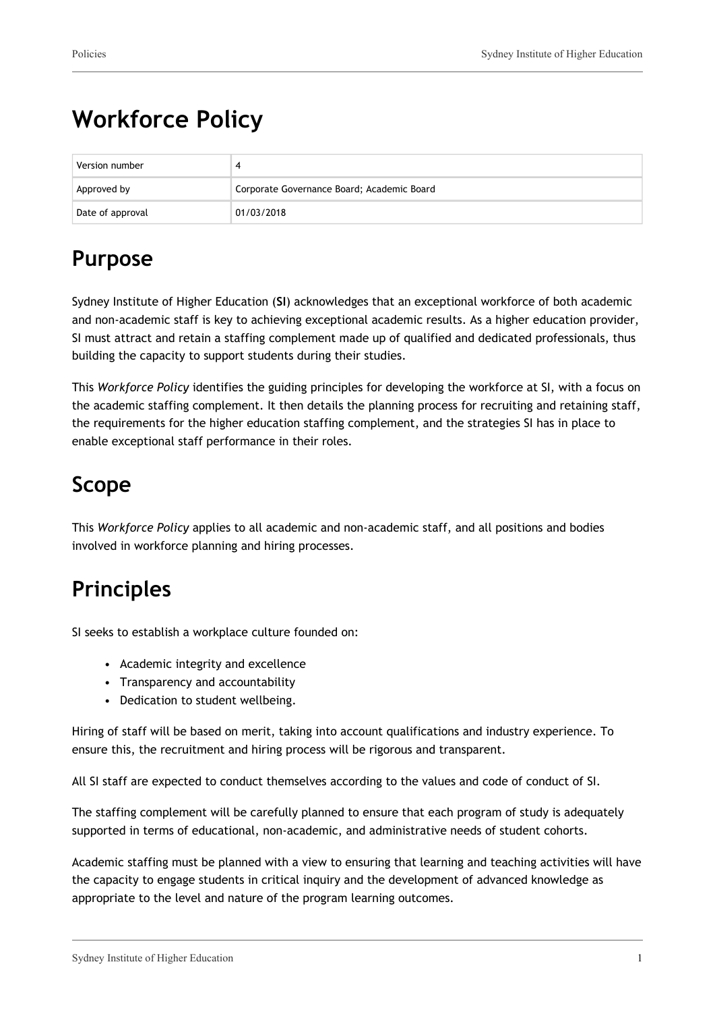# **Workforce Policy**

| Version number   |                                            |  |
|------------------|--------------------------------------------|--|
| Approved by      | Corporate Governance Board; Academic Board |  |
| Date of approval | 01/03/2018                                 |  |

# **Purpose**

Sydney Institute of Higher Education (**SI**) acknowledges that an exceptional workforce of both academic and non-academic staff is key to achieving exceptional academic results. As a higher education provider, SI must attract and retain a staffing complement made up of qualified and dedicated professionals, thus building the capacity to support students during their studies.

This *Workforce Policy* identifies the guiding principles for developing the workforce at SI, with a focus on the academic staffing complement. It then details the planning process for recruiting and retaining staff, the requirements for the higher education staffing complement, and the strategies SI has in place to enable exceptional staff performance in their roles.

# **Scope**

This *Workforce Policy* applies to all academic and non-academic staff, and all positions and bodies involved in workforce planning and hiring processes.

# **Principles**

SI seeks to establish a workplace culture founded on:

- Academic integrity and excellence
- Transparency and accountability
- Dedication to student wellbeing.

Hiring of staff will be based on merit, taking into account qualifications and industry experience. To ensure this, the recruitment and hiring process will be rigorous and transparent.

All SI staff are expected to conduct themselves according to the values and code of conduct of SI.

The staffing complement will be carefully planned to ensure that each program of study is adequately supported in terms of educational, non-academic, and administrative needs of student cohorts.

Academic staffing must be planned with a view to ensuring that learning and teaching activities will have the capacity to engage students in critical inquiry and the development of advanced knowledge as appropriate to the level and nature of the program learning outcomes.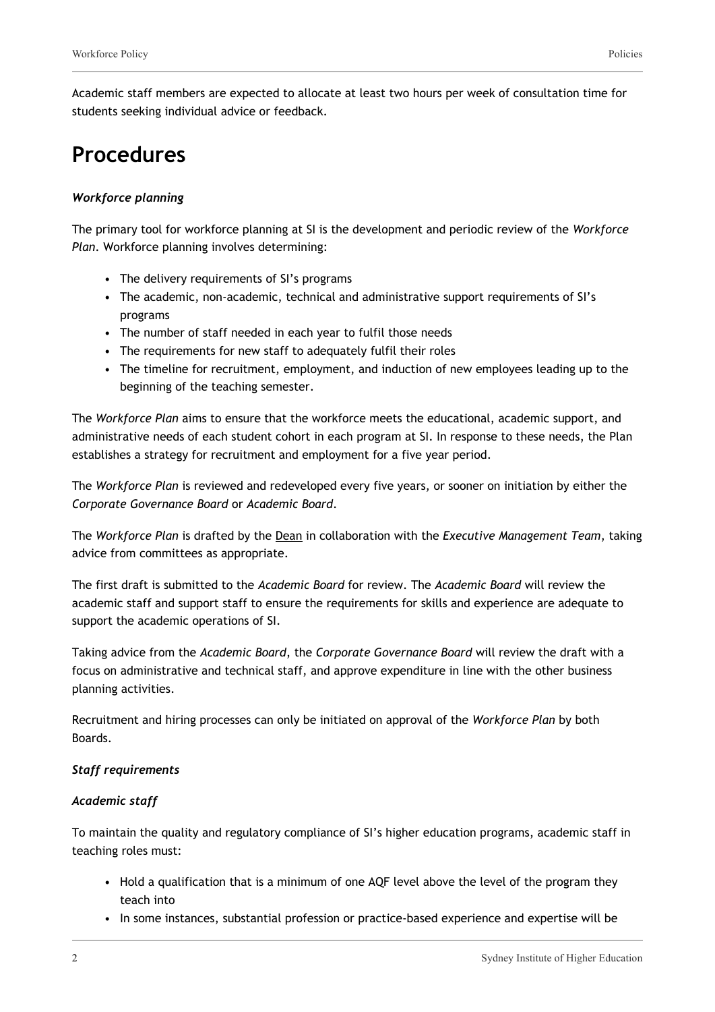Academic staff members are expected to allocate at least two hours per week of consultation time for students seeking individual advice or feedback.

### **Procedures**

#### *Workforce planning*

The primary tool for workforce planning at SI is the development and periodic review of the *Workforce Plan*. Workforce planning involves determining:

- The delivery requirements of SI's programs
- The academic, non-academic, technical and administrative support requirements of SI's programs
- The number of staff needed in each year to fulfil those needs
- The requirements for new staff to adequately fulfil their roles
- The timeline for recruitment, employment, and induction of new employees leading up to the beginning of the teaching semester.

The *Workforce Plan* aims to ensure that the workforce meets the educational, academic support, and administrative needs of each student cohort in each program at SI. In response to these needs, the Plan establishes a strategy for recruitment and employment for a five year period.

The *Workforce Plan* is reviewed and redeveloped every five years, or sooner on initiation by either the *Corporate Governance Board* or *Academic Board*.

The *Workforce Plan* is drafted by the Dean in collaboration with the *Executive Management Team*, taking advice from committees as appropriate.

The first draft is submitted to the *Academic Board* for review. The *Academic Board* will review the academic staff and support staff to ensure the requirements for skills and experience are adequate to support the academic operations of SI.

Taking advice from the *Academic Board*, the *Corporate Governance Board* will review the draft with a focus on administrative and technical staff, and approve expenditure in line with the other business planning activities.

Recruitment and hiring processes can only be initiated on approval of the *Workforce Plan* by both Boards.

#### *Staff requirements*

#### *Academic staff*

To maintain the quality and regulatory compliance of SI's higher education programs, academic staff in teaching roles must:

- Hold a qualification that is a minimum of one AQF level above the level of the program they teach into
- In some instances, substantial profession or practice-based experience and expertise will be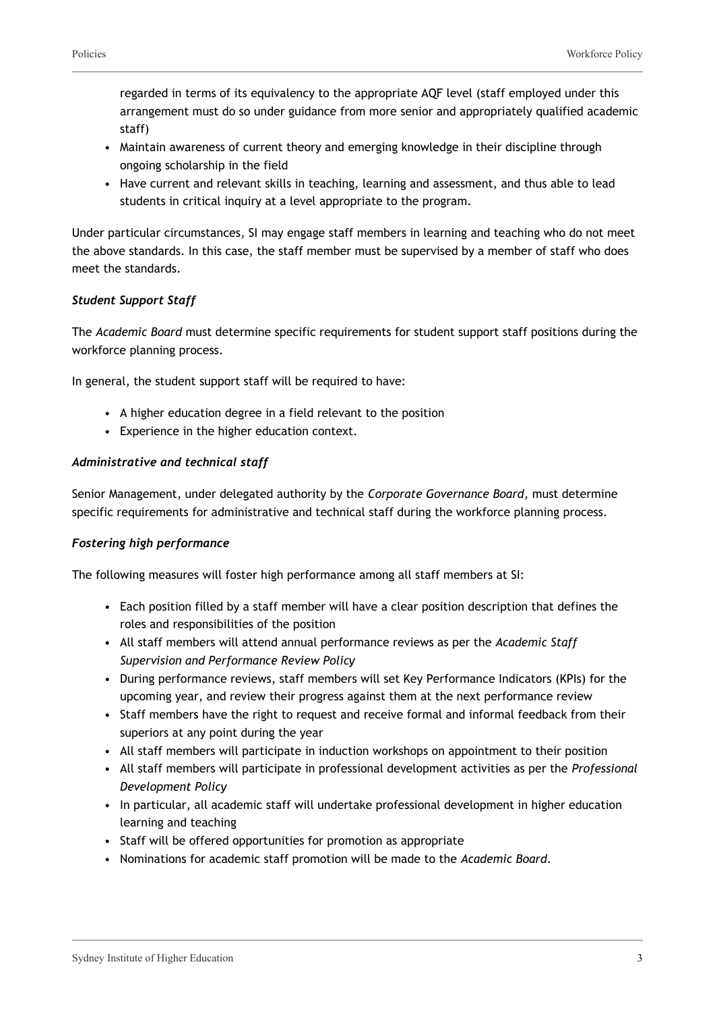regarded in terms of its equivalency to the appropriate AQF level (staff employed under this arrangement must do so under guidance from more senior and appropriately qualified academic staff)

- Maintain awareness of current theory and emerging knowledge in their discipline through ongoing scholarship in the field
- Have current and relevant skills in teaching, learning and assessment, and thus able to lead students in critical inquiry at a level appropriate to the program.

Under particular circumstances, SI may engage staff members in learning and teaching who do not meet the above standards. In this case, the staff member must be supervised by a member of staff who does meet the standards.

#### *Student Support Staff*

The *Academic Board* must determine specific requirements for student support staff positions during the workforce planning process.

In general, the student support staff will be required to have:

- A higher education degree in a field relevant to the position
- Experience in the higher education context.

#### *Administrative and technical staff*

Senior Management, under delegated authority by the *Corporate Governance Board*, must determine specific requirements for administrative and technical staff during the workforce planning process.

#### *Fostering high performance*

The following measures will foster high performance among all staff members at SI:

- Each position filled by a staff member will have a clear position description that defines the roles and responsibilities of the position
- All staff members will attend annual performance reviews as per the *Academic Staff Supervision and Performance Review Policy*
- During performance reviews, staff members will set Key Performance Indicators (KPIs) for the upcoming year, and review their progress against them at the next performance review
- Staff members have the right to request and receive formal and informal feedback from their superiors at any point during the year
- All staff members will participate in induction workshops on appointment to their position
- All staff members will participate in professional development activities as per the *Professional Development Policy*
- In particular, all academic staff will undertake professional development in higher education learning and teaching
- Staff will be offered opportunities for promotion as appropriate
- Nominations for academic staff promotion will be made to the *Academic Board*.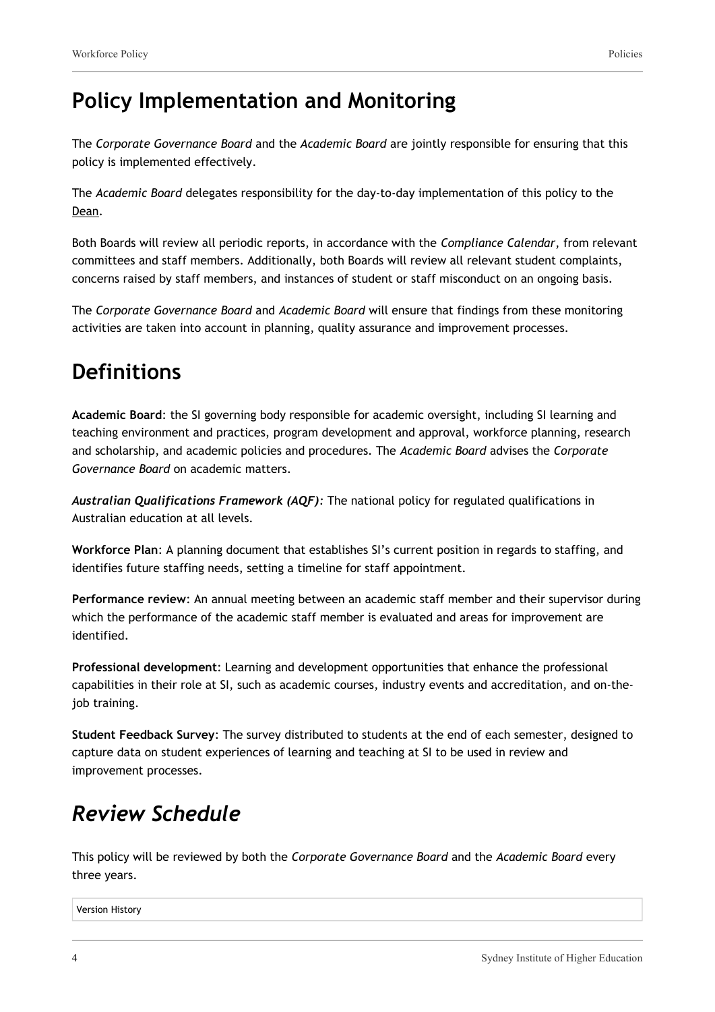### **Policy Implementation and Monitoring**

The *Corporate Governance Board* and the *Academic Board* are jointly responsible for ensuring that this policy is implemented effectively.

The *Academic Board* delegates responsibility for the day-to-day implementation of this policy to the Dean.

Both Boards will review all periodic reports, in accordance with the *Compliance Calendar*, from relevant committees and staff members. Additionally, both Boards will review all relevant student complaints, concerns raised by staff members, and instances of student or staff misconduct on an ongoing basis.

The *Corporate Governance Board* and *Academic Board* will ensure that findings from these monitoring activities are taken into account in planning, quality assurance and improvement processes.

### **Definitions**

**Academic Board**: the SI governing body responsible for academic oversight, including SI learning and teaching environment and practices, program development and approval, workforce planning, research and scholarship, and academic policies and procedures. The *Academic Board* advises the *Corporate Governance Board* on academic matters.

*Australian Qualifications Framework (AQF):* The national policy for regulated qualifications in Australian education at all levels.

**Workforce Plan**: A planning document that establishes SI's current position in regards to staffing, and identifies future staffing needs, setting a timeline for staff appointment.

**Performance review**: An annual meeting between an academic staff member and their supervisor during which the performance of the academic staff member is evaluated and areas for improvement are identified.

**Professional development**: Learning and development opportunities that enhance the professional capabilities in their role at SI, such as academic courses, industry events and accreditation, and on-thejob training.

**Student Feedback Survey**: The survey distributed to students at the end of each semester, designed to capture data on student experiences of learning and teaching at SI to be used in review and improvement processes.

## *Review Schedule*

This policy will be reviewed by both the *Corporate Governance Board* and the *Academic Board* every three years.

Version History